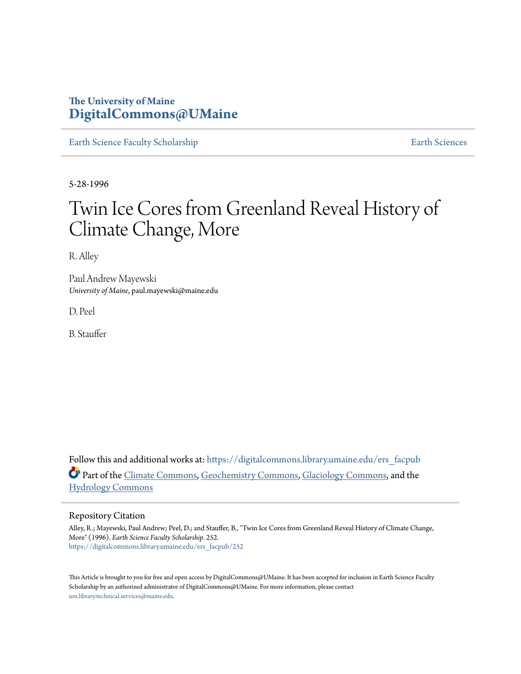### **The University of Maine [DigitalCommons@UMaine](https://digitalcommons.library.umaine.edu?utm_source=digitalcommons.library.umaine.edu%2Fers_facpub%2F252&utm_medium=PDF&utm_campaign=PDFCoverPages)**

[Earth Science Faculty Scholarship](https://digitalcommons.library.umaine.edu/ers_facpub?utm_source=digitalcommons.library.umaine.edu%2Fers_facpub%2F252&utm_medium=PDF&utm_campaign=PDFCoverPages) **[Earth Sciences](https://digitalcommons.library.umaine.edu/ers?utm_source=digitalcommons.library.umaine.edu%2Fers_facpub%2F252&utm_medium=PDF&utm_campaign=PDFCoverPages)** 

5-28-1996

# Twin Ice Cores from Greenland Reveal History of Climate Change, More

R. Alley

Paul Andrew Mayewski *University of Maine*, paul.mayewski@maine.edu

D. Peel

B. Stauffer

Follow this and additional works at: [https://digitalcommons.library.umaine.edu/ers\\_facpub](https://digitalcommons.library.umaine.edu/ers_facpub?utm_source=digitalcommons.library.umaine.edu%2Fers_facpub%2F252&utm_medium=PDF&utm_campaign=PDFCoverPages) Part of the [Climate Commons,](http://network.bepress.com/hgg/discipline/188?utm_source=digitalcommons.library.umaine.edu%2Fers_facpub%2F252&utm_medium=PDF&utm_campaign=PDFCoverPages) [Geochemistry Commons,](http://network.bepress.com/hgg/discipline/157?utm_source=digitalcommons.library.umaine.edu%2Fers_facpub%2F252&utm_medium=PDF&utm_campaign=PDFCoverPages) [Glaciology Commons](http://network.bepress.com/hgg/discipline/159?utm_source=digitalcommons.library.umaine.edu%2Fers_facpub%2F252&utm_medium=PDF&utm_campaign=PDFCoverPages), and the [Hydrology Commons](http://network.bepress.com/hgg/discipline/1054?utm_source=digitalcommons.library.umaine.edu%2Fers_facpub%2F252&utm_medium=PDF&utm_campaign=PDFCoverPages)

### Repository Citation

Alley, R.; Mayewski, Paul Andrew; Peel, D.; and Stauffer, B., "Twin Ice Cores from Greenland Reveal History of Climate Change, More" (1996). *Earth Science Faculty Scholarship*. 252. [https://digitalcommons.library.umaine.edu/ers\\_facpub/252](https://digitalcommons.library.umaine.edu/ers_facpub/252?utm_source=digitalcommons.library.umaine.edu%2Fers_facpub%2F252&utm_medium=PDF&utm_campaign=PDFCoverPages)

This Article is brought to you for free and open access by DigitalCommons@UMaine. It has been accepted for inclusion in Earth Science Faculty Scholarship by an authorized administrator of DigitalCommons@UMaine. For more information, please contact [um.library.technical.services@maine.edu](mailto:um.library.technical.services@maine.edu).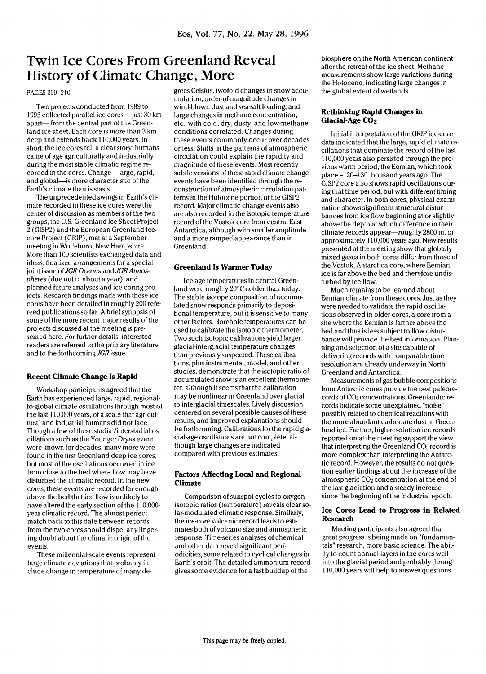## Twin Ice Cores From Greenland Reveal History of Climate Change, More

#### PAGES 209-210

Two projects conducted from 1989 to 1993 collected parallel ice cores—just 30 km apart— from the central part of the Greenland ice sheet. Each core is more than 3 km deep and extends back 110,000 years. In short, the ice cores tell a clearstory: humans came of age agriculturally and industrially during the most stable climatic regime recorded in the cores. Change—large, rapid, and global—is more characteristic of the Earth's climate than is stasis.

The unprecedented swings in Earth's climate recorded in these ice cores were the center of discussion as members of the two groups, the U.S. Greenland Ice Sheet Project 2 (GISP2) and the European Greenland Icecore Project (GRIP), met at a September meeting in Wolfeboro, New Hampshire. More than 100 scientists exchanged data and ideas, finalized arrangements for a special joint issue *oiJGR Oceans* and *JGRAtmospheres* (due out in about a year), and planned future analyses and ice-coring projects. Research findings made with these ice cores have been detailed in roughly 200 refereed publications so far. A brief synopsis of some of the more recent major results of the projects discussed at the meeting is presented here. For further details, interested readers are referred to the primary literature and to the forthcoming *JGR* issue.

#### **Recent Climate Change Is Rapid**

Workshop participants agreed that the Earth has experienced large, rapid, regionalto-global climate oscillations through most of the last 110,000 years, of a scale that agricultural and industrial humans did not face. Though a few of these stadial/interstadial oscillations such as the Younger Dryas event were known for decades, many more were found in the first Greenland deep ice cores, but most of the oscillations occurred in ice from close to the bed where flow may have disturbed the climatic record. In the new cores, these events are recorded far enough above the bed that ice flow is unlikely to have altered the early section of the 110,000 year climatic record. The almost perfect match back to this date between records from the two cores should dispel any lingering doubt about the climatic origin of the events.

These millennial-scale events represent large climate deviations that probably include change in temperature of many degrees Celsius, twofold changes in snow accumulation, order-of-magnitude changes in wind-blown dust and sea-salt loading, and large changes in methane concentration, etc., with cold, dry, dusty, and low-methane conditions correlated. Changes during these events commonly occur over decades or less. Shifts in the patterns of atmospheric circulation could explain the rapidity and magnitude of these events. Most recently subtle versions of these rapid climate change events have been identified through the reconstruction of atmospheric circulation patterns in the Holocene portion of the GISP2 record. Major climatic change events also are also recorded in the isotopic temperature record of the Vostok core from central East Antarctica, although with smaller amplitude and a more ramped appearance than in Greenland.

#### **Greenland Is Warmer Today**

Ice-age temperatures in central Greenland were roughly 20°C colder than today. The stable isotope composition of accumulated snow responds primarily to depositional temperature, but it is sensitive to many other factors. Borehole temperatures can be used to calibrate the isotopic thermometer. Two such isotopic calibrations yield larger glacial-interglacial temperature changes than previously suspected. These calibrations, plus instrumental, model, and other studies, demonstrate that the isotopic ratio of accumulated snow is an excellent thermometer, although it seems that the calibration may be nonlinear in Greenland over glacial to interglacial timescales. Lively discussion centered on several possible causes of these results, and improved explanations should be forthcoming. Calibrations for the rapid glacial-age oscillations are not complete, although large changes are indicated compared with previous estimates.

#### **Factors Affecting Local and Regional Climate**

Comparison of sunspot cycles to oxygenisotopic ratios (temperature) reveals clear solar-modulated climatic response. Similarly, the ice-core volcanic record leads to estimates both of volcano size and atmospheric response. Time-series analyses of chemical and other data reveal significant periodicities, some related to cyclical changes in Earth's orbit. The detailed ammonium record gives some evidence for a fast buildup of the

biosphere on the North American continent after the retreat of the ice sheet. Methane measurements show large variations during the Holocene, indicating large changes in the global extent of wetlands.

#### **Rethinking Rapid Changes in Glacial-Age CO2**

Initial interpretation of the GRIP ice-core data indicated that the large, rapid climate oscillations that dominate the record of the last 110,000 years also persisted through the previous warm period, the Eemian, which took place -120-130 thousand years ago. The GISP2 core also shows rapid oscillations during that time period, but with different timing and character. In both cores, physical examination shows significant structural disturbances from ice flow beginning at or slightly above the depth at which difference in their climate records appear—roughly 2800 m, or approximately 110,000 years ago. New results presented at the meeting show that globally mixed gases in both cores differ from those of the Vostok, Antarctica core, where Eemian ice is far above the bed and therefore undisturbed by ice flow.

Much remains to be learned about Eemian climate from these cores. Just as they were needed to validate the rapid oscillations observed in older cores, a core from a site where the Eemian is farther above the bed and thus is less subject to flow disturbance will provide the best information. Planning and selection of a site capable of delivering records with comparable time resolution are already underway in North Greenland and Antarctica.

Measurements of gas-bubble compositions from Antarctic cores provide the best paleorecords of CO2 concentrations. Greenlandic records indicate some unexplained "noise" possibly related to chemical reactions with the more abundant carbonate dust in Greenland ice. Further, high-resolution ice records reported on at the meeting support the view that interpreting the Greenland  $CO<sub>2</sub>$  record is more complex than interpreting the Antarctic record. However, the results do not question earlier findings about the increase of the atmospheric  $CO<sub>2</sub>$  concentration at the end of the last glaciation and a steady increase since the beginning of the industrial epoch.

#### **Ice Cores Lead to Progress in Related Research**

Meeting participants also agreed that great progress is being made on "fundamentals" research, more basic science. The ability to count annual layers in the cores well into the glacial period and probably through 110,000 years will help to answer questions